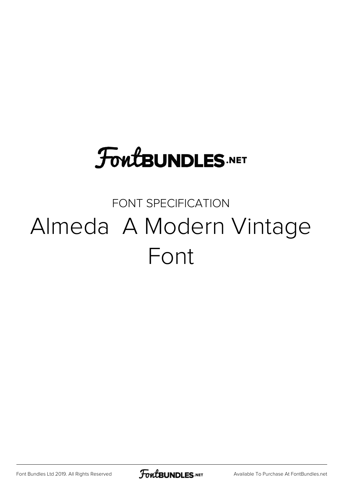# **FoutBUNDLES.NET**

## FONT SPECIFICATION Almeda A Modern Vintage Font

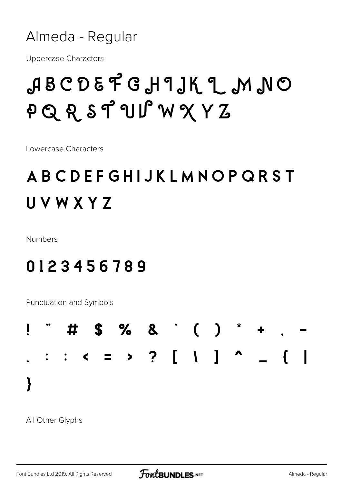#### Almeda - Regular

**Uppercase Characters** 

## ABCDEFGH9JKL MNO PQRSTUSWXYZ

Lowercase Characters

## ABCDEFGHIJKLMNOPQRST UVWXYZ

**Numbers** 

#### 0123456789

Punctuation and Symbols



All Other Glyphs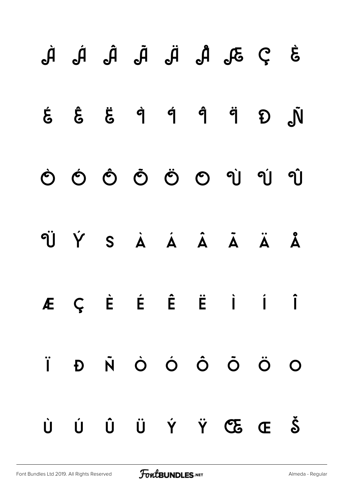|  |  |  | $\dot{3}$ $\dot{2}$ $\partial_{0}$ $\dot{R}$ $\ddot{R}$ $\dot{R}$ $\dot{R}$ $\dot{R}$ $\dot{R}$                            |  |
|--|--|--|----------------------------------------------------------------------------------------------------------------------------|--|
|  |  |  | $\dot{\xi}$ $\dot{\xi}$ $\ddot{\xi}$ $\dot{\eta}$ $\dot{\eta}$ $\ddot{\eta}$ $\ddot{\eta}$ $\ddot{\delta}$ $\ddot{\delta}$ |  |
|  |  |  | 0 0 0 0 0 0 1 1 1                                                                                                          |  |
|  |  |  | ÜÝS À Á Ã Ã Ä Å                                                                                                            |  |
|  |  |  | ÆÇÈ É Ë Ë İ İ                                                                                                              |  |
|  |  |  | Ï Đ Ñ Ò Ó Ô Õ Ö O                                                                                                          |  |
|  |  |  | Ù Ú Ũ Ü Ý Ÿ Œ Œ Š                                                                                                          |  |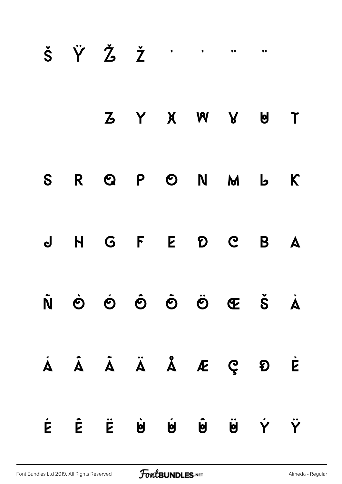|  | $\check{S}$ $\check{Y}$ $\check{Z}$ $\check{Z}$ $\vdots$ $\vdots$ |  |               |  |       |
|--|-------------------------------------------------------------------|--|---------------|--|-------|
|  |                                                                   |  | Z Y X W Y U T |  |       |
|  | S R Q P O N M                                                     |  |               |  | $b$ K |
|  | J H G F E D C B A                                                 |  |               |  |       |
|  | Ñ Ò Ó Ô Õ Ö Œ Š À                                                 |  |               |  |       |
|  | Á Â Ã Ä Å Å Æ Ç Đ È                                               |  |               |  |       |
|  | É Ê Ë U U U U U Y Y                                               |  |               |  |       |